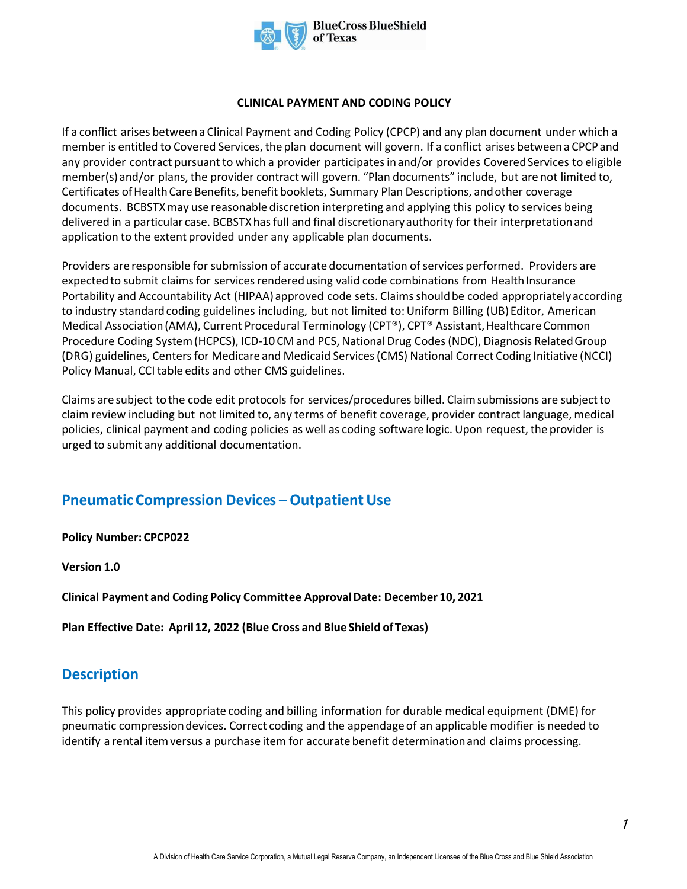

#### **CLINICAL PAYMENT AND CODING POLICY**

If a conflict arises between a Clinical Payment and Coding Policy (CPCP) and any plan document under which a member is entitled to Covered Services, the plan document will govern. If a conflict arises between a CPCP and any provider contract pursuant to which a provider participates in and/or provides Covered Services to eligible member(s) and/or plans, the provider contract will govern. "Plan documents" include, but are not limited to, Certificates of Health Care Benefits, benefit booklets, Summary Plan Descriptions, and other coverage documents. BCBSTXmay use reasonable discretion interpreting and applying this policy to services being delivered in a particular case. BCBSTXhas full and final discretionary authority for their interpretation and application to the extent provided under any applicable plan documents.

Providers are responsible for submission of accurate documentation of services performed. Providers are expected to submit claims for services rendered using valid code combinations from Health Insurance Portability and Accountability Act (HIPAA) approved code sets. Claims should be coded appropriately according to industry standard coding guidelines including, but not limited to: Uniform Billing (UB) Editor, American Medical Association (AMA), Current Procedural Terminology (CPT®), CPT® Assistant, Healthcare Common Procedure Coding System (HCPCS), ICD-10 CM and PCS, National Drug Codes (NDC), Diagnosis Related Group (DRG) guidelines, Centers for Medicare and Medicaid Services (CMS) National Correct Coding Initiative (NCCI) Policy Manual, CCI table edits and other CMS guidelines.

Claims are subject to the code edit protocols for services/procedures billed. Claim submissions are subject to claim review including but not limited to, any terms of benefit coverage, provider contract language, medical policies, clinical payment and coding policies as well as coding software logic. Upon request, the provider is urged to submit any additional documentation.

# **Pneumatic Compression Devices –Outpatient Use**

**Policy Number: CPCP022** 

**Version 1.0** 

**Clinical Payment and Coding Policy Committee Approval Date: December 10, 2021** 

**Plan Effective Date: April 12, 2022 (Blue Cross and Blue Shield of Texas)**

## **Description**

This policy provides appropriate coding and billing information for durable medical equipment (DME) for pneumatic compression devices. Correct coding and the appendage of an applicable modifier is needed to identify a rental item versus a purchase item for accurate benefit determination and claims processing.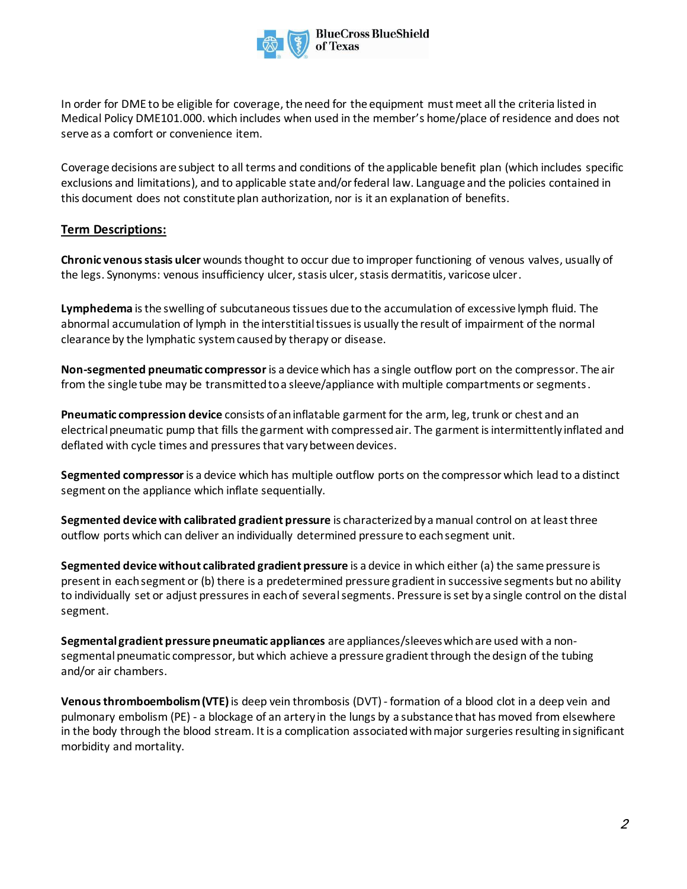

In order for DME to be eligible for coverage, the need for the equipment must meet all the criteria listed in Medical Policy DME101.000. which includes when used in the member's home/place of residence and does not serve as a comfort or convenience item.

Coverage decisions are subject to all terms and conditions of the applicable benefit plan (which includes specific exclusions and limitations), and to applicable state and/or federal law. Language and the policies contained in this document does not constitute plan authorization, nor is it an explanation of benefits.

### **Term Descriptions:**

**Chronic venous stasis ulcer** wounds thought to occur due to improper functioning of venous valves, usually of the legs. Synonyms: venous insufficiency ulcer, stasis ulcer, stasis dermatitis, varicose ulcer.

**Lymphedema** is the swelling of subcutaneous tissues due to the accumulation of excessive lymph fluid. The abnormal accumulation of lymph in the interstitial tissues is usually the result of impairment of the normal clearance by the lymphatic system caused by therapy or disease.

**Non-segmented pneumatic compressor** is a device which has a single outflow port on the compressor. The air from the single tube may be transmitted to a sleeve/appliance with multiple compartments or segments.

**Pneumatic compression device** consists of an inflatable garment for the arm, leg, trunk or chest and an electrical pneumatic pump that fills the garment with compressed air. The garment is intermittently inflated and deflated with cycle times and pressures that vary between devices.

**Segmented compressor** is a device which has multiple outflow ports on the compressor which lead to a distinct segment on the appliance which inflate sequentially.

**Segmented device with calibrated gradient pressure** is characterized by a manual control on at least three outflow ports which can deliver an individually determined pressure to each segment unit.

**Segmented device without calibrated gradient pressure** is a device in which either (a) the same pressure is present in each segment or (b) there is a predetermined pressure gradient in successive segments but no ability to individually set or adjust pressures in each of several segments. Pressure is set by a single control on the distal segment.

**Segmental gradient pressure pneumatic appliances** are appliances/sleeves which are used with a nonsegmental pneumatic compressor, but which achieve a pressure gradient through the design of the tubing and/or air chambers.

**Venous thromboembolism (VTE)**is deep vein thrombosis (DVT)- formation of a blood clot in a deep vein and pulmonary embolism (PE) - a blockage of an artery in the lungs by a substance that has moved from elsewhere in the body through the blood stream. It is a complication associated with major surgeries resulting in significant morbidity and mortality.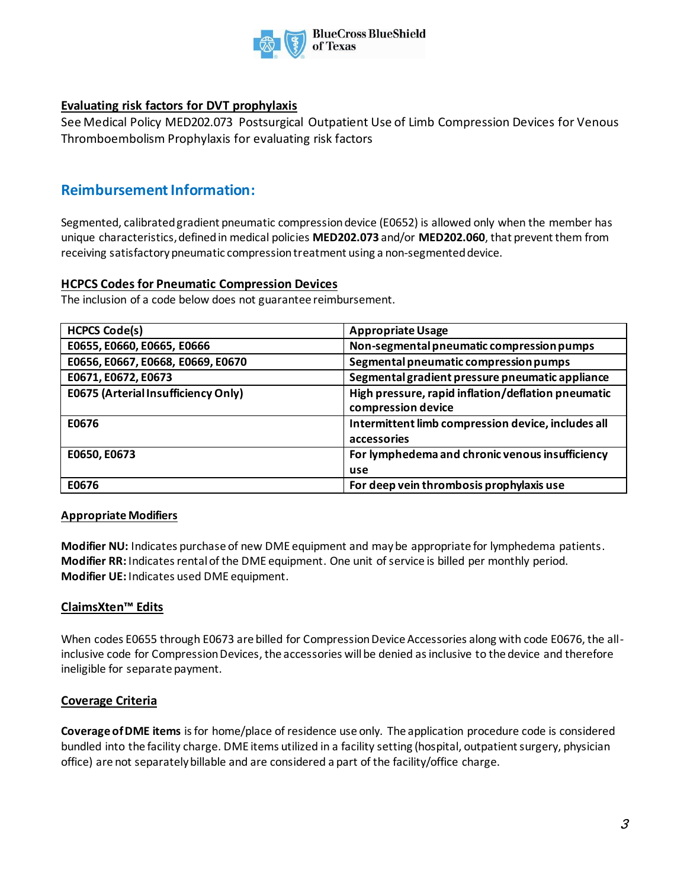

## **Evaluating risk factors for DVT prophylaxis**

See Medical Policy MED202.073 Postsurgical Outpatient Use of Limb Compression Devices for Venous Thromboembolism Prophylaxis for evaluating risk factors

## **Reimbursement Information:**

Segmented, calibrated gradient pneumatic compression device (E0652) is allowed only when the member has unique characteristics, defined in medical policies **MED202.073** and/or **MED202.060**, that prevent them from receiving satisfactory pneumatic compression treatment using a non-segmented device.

### **HCPCS Codes for Pneumatic Compression Devices**

The inclusion of a code below does not guarantee reimbursement.

| <b>HCPCS Code(s)</b>                | <b>Appropriate Usage</b>                                                 |
|-------------------------------------|--------------------------------------------------------------------------|
| E0655, E0660, E0665, E0666          | Non-segmental pneumatic compression pumps                                |
| E0656, E0667, E0668, E0669, E0670   | Segmental pneumatic compression pumps                                    |
| E0671, E0672, E0673                 | Segmental gradient pressure pneumatic appliance                          |
| E0675 (Arterial Insufficiency Only) | High pressure, rapid inflation/deflation pneumatic<br>compression device |
| E0676                               | Intermittent limb compression device, includes all<br>accessories        |
| E0650, E0673                        | For lymphedema and chronic venous insufficiency<br>use                   |
| E0676                               | For deep vein thrombosis prophylaxis use                                 |

### **Appropriate Modifiers**

**Modifier NU:** Indicates purchase of new DME equipment and may be appropriate for lymphedema patients. **Modifier RR:** Indicates rental of the DME equipment. One unit of service is billed per monthly period. **Modifier UE:** Indicates used DME equipment.

### **ClaimsXten™ Edits**

When codes E0655 through E0673 are billed for Compression Device Accessories along with code E0676, the allinclusive code for Compression Devices, the accessories will be denied as inclusive to the device and therefore ineligible for separate payment.

### **Coverage Criteria**

**Coverage of DME items** is for home/place of residence use only. The application procedure code is considered bundled into the facility charge. DME items utilized in a facility setting (hospital, outpatient surgery, physician office) are not separately billable and are considered a part of the facility/office charge.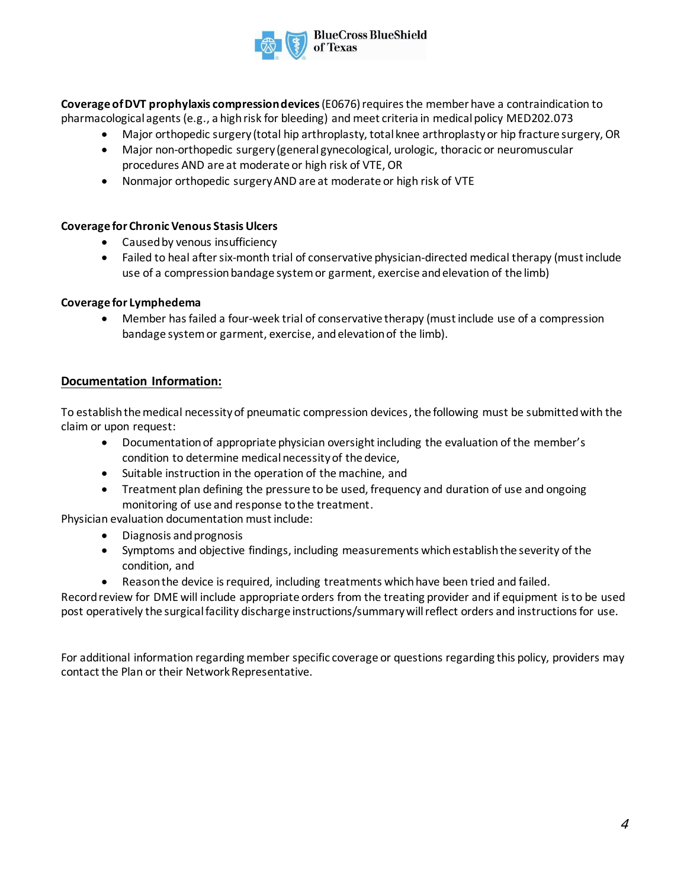**Coverage of DVT prophylaxis compression devices**(E0676) requires the member have a contraindication to pharmacological agents (e.g., a high risk for bleeding) and meet criteria in medical policy MED202.073

- Major orthopedic surgery (total hip arthroplasty, total knee arthroplasty or hip fracture surgery, OR
- Major non-orthopedic surgery (general gynecological, urologic, thoracic or neuromuscular procedures AND are at moderate or high risk of VTE, OR
- Nonmajor orthopedic surgery AND are at moderate or high risk of VTE

#### **Coverage for Chronic Venous Stasis Ulcers**

- Caused by venous insufficiency
- Failed to heal after six-month trial of conservative physician-directed medical therapy (must include use of a compression bandage system or garment, exercise and elevation of the limb)

#### **Coverage for Lymphedema**

• Member has failed a four-week trial of conservative therapy (must include use of a compression bandage system or garment, exercise, and elevation of the limb).

#### **Documentation Information:**

To establish the medical necessity of pneumatic compression devices, the following must be submitted with the claim or upon request:

- Documentation of appropriate physician oversight including the evaluation of the member's condition to determine medical necessity of the device,
- Suitable instruction in the operation of the machine, and
- Treatment plan defining the pressure to be used, frequency and duration of use and ongoing monitoring of use and response to the treatment.

Physician evaluation documentation must include:

- Diagnosis and prognosis
- Symptoms and objective findings, including measurements which establish the severity of the condition, and
- Reason the device is required, including treatments which have been tried and failed.

Record review for DME will include appropriate orders from the treating provider and if equipment is to be used post operatively the surgical facility discharge instructions/summary will reflect orders and instructions for use.

For additional information regarding member specific coverage or questions regarding this policy, providers may contact the Plan or their Network Representative.